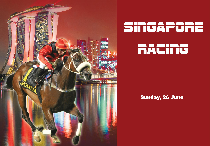

# SINGAPORE

### **RACING**

#### Sunday, 26 June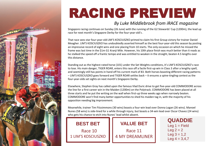

## RACING PREVIEW

#### *By Luke Middlebrook from iRACE magazine*

Singapore racing continues on Sunday (26 June) with the running of the G2 Stewards' Cup (1200m), the lead up race for next month's Singapore Derby for the four-year-old's .

That race sees star four-year-old LIM'S KOSCIUSZKO primed to claim his first Group victory for trainer Daniel Meagher. LIM'S KOSCIUSZKO has undoubtedly asserted himself as the best four-year-old this season by posting an impressive record of eight wins and one placing from 10 starts. The only occasion on which he missed the frame was last time in the \$1m G1 Kranji Mile. However, his 10th place finish was much better than it reads as he stalked the speed off a frantic tempo and was entitled to weaken in the straight, beaten 4.5 lengths over this distance.

Standing out as the highest-rated horse (101) under the Set Weights conditions, it's LIM'S KOSCIUSZKO's race to lose. His main danger, TIGER ROAR, enters this race off a facile first-up win in Class 3 after a lengthy spell, and seemingly still has points in hand off his current mark of 83. Both horses boasting different racing patterns – LIM'S KOSCIUSZKO goes forward and TIGER ROAR settles back – it ensures a spine-tingling contest as the four-year-olds set sights on next month's Singapore Derby.

Elsewhere, Stephen Gray has called upon the famous Vlad Duric drive to get five-year-old COMMODORE across the line for a first career win in the Maiden (1200m) on the Polytrack. COMMODORE has been placed at all three starts and he put the writing on the wall when first-up three weeks ago when narrowly beaten. COMMODORE won't find many better opportunities to shed his maiden tag in, with the majority of his opposition needing big improvement.

Meanwhile, trainer Tim Fitzsimmons (30 wins) boasts a four-win lead over Donna Logan (26 wins). Manoel Nunes (58 wins) is side-lined for a while through injury, but boasts a 34-win lead over Oscar Chavez (24 wins) who gets his chance to etch into Nunes' lead whilst absent.

**BEST BET** Race 10 1 LIM'S KOSCIUSZKO

**VALUE BET** Race 11 4 MY DREAMLINER

**QUADDIE** Leg  $1 =$  Field Leg  $2 = 2$  $Leg 3 = 1,2$  $Leq 4 = 3,4,7$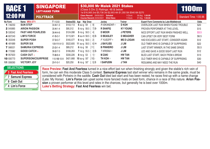| <b>RACE 1</b>     |                                                 | <b>SINGAPORE</b><br><b>LEFT-HAND TURN</b> |                  |           |                                                                      | \$30,000 Mr Malek 2021 Stakes<br>(Class 5 Div 2) Ratings: 48 & below<br>1st \$16,065 2nd \$5,738 3rd \$2,903 4th \$1,350 5th \$540 6th \$270 |                    |                                                                                                                                                                                                                                                                                                                                                                                                                                                                                                           |                        |       |  |
|-------------------|-------------------------------------------------|-------------------------------------------|------------------|-----------|----------------------------------------------------------------------|----------------------------------------------------------------------------------------------------------------------------------------------|--------------------|-----------------------------------------------------------------------------------------------------------------------------------------------------------------------------------------------------------------------------------------------------------------------------------------------------------------------------------------------------------------------------------------------------------------------------------------------------------------------------------------------------------|------------------------|-------|--|
| <b>12:00 PM</b>   |                                                 | <b>POLYTRACK</b>                          |                  |           | Class Record: 29/05/2021 Sahabat<br><b>Course Record: 24/04/2021</b> | <b>Elliot Ness</b>                                                                                                                           | V Duric<br>V Duric | 59.0kg 1:04.80<br>57.0kg 1:03.65                                                                                                                                                                                                                                                                                                                                                                                                                                                                          | Standard Time: 1:05.96 |       |  |
| No Form           | Name MRA 0771                                   |                                           | $T-1-2-3$        |           | Stakes(S\$) Age Wgt Draw                                             | Jockey                                                                                                                                       | <b>Trainer</b>     | <b>Expert Form Comments by Luke Middlebrook</b>                                                                                                                                                                                                                                                                                                                                                                                                                                                           |                        | Odds  |  |
| 1 746250          | <b>SUN STEP</b>                                 |                                           | $34 - 4 - 1 - 3$ | \$103,113 | <b>6</b> au-g 59<br>$\begin{bmatrix} 9 \end{bmatrix}$                | R ISKANDAR-2                                                                                                                                 | <b>D KOH</b>       | OVERLOOK LAST RUN WHEN FOUND TROUBLE                                                                                                                                                                                                                                                                                                                                                                                                                                                                      |                        | \$20  |  |
| 2 045885          | <b>ARION PASSION</b>                            |                                           | $35 - 4 - 1 - 4$ | \$95,512  | 5 nz-g 58.5   7 Bt                                                   | <b>R SHAFIQ</b>                                                                                                                              | <b>KY YOUNG</b>    | PROVEN PERFORMER AT THIS LEVEL                                                                                                                                                                                                                                                                                                                                                                                                                                                                            |                        | \$15  |  |
| 3 530342          | <b>FAST AND FEARLESS</b>                        |                                           | $36 - 4 - 4 - 6$ | \$124,098 | 5 nz-g 58.5 $[4]$                                                    | <b>D MOOR</b>                                                                                                                                | <b>J PETERS</b>    | NICE EFFORT LAST RUN WHEN FINISHED WELL                                                                                                                                                                                                                                                                                                                                                                                                                                                                   |                        | \$3.5 |  |
| 4 607240          | <b>LIM'S FORCE</b>                              |                                           | $41 - 5 - 3 - 1$ | \$115,921 | 8 au-m 58.5   8 Bt                                                   | <b>D BEASLEY</b>                                                                                                                             | <b>D MEAGHER</b>   | CAN UPSET ON VERY BEST FORM                                                                                                                                                                                                                                                                                                                                                                                                                                                                               |                        | \$6.5 |  |
| 5 353346          | <b>SUPER POSH</b>                               |                                           | $37 - 3 - 3 - 7$ | \$165,577 | 6 nz-g 58.5 $\lceil 2 \rceil$                                        | FYUSOFF-3                                                                                                                                    | <b>MS D LOGAN</b>  | HAD EXCUSES LAST START, CONSIDER AGAIN                                                                                                                                                                                                                                                                                                                                                                                                                                                                    |                        | \$12  |  |
| 6 481689          | <b>SUPER SIX</b>                                |                                           | 109-11-9-13      | \$522,605 | 11 au-g 58.5   6 Ht                                                  | <b>J BAYLISS</b>                                                                                                                             | J LIM              | OLD TIMER WHO IS CAPABLE OF SURPRISING                                                                                                                                                                                                                                                                                                                                                                                                                                                                    |                        | \$22  |  |
| 7 566531          | <b>SAMURAI EXPRESS</b>                          |                                           | $25 - 3 - 1 - 4$ | \$89,212  | 6 nz-g 58<br>$[11]$                                                  | <b>B PINHEIRO</b>                                                                                                                            | J LIM              | LAST START WINNER, IN THE SAME GRADE                                                                                                                                                                                                                                                                                                                                                                                                                                                                      |                        | \$5.5 |  |
| 8 772082          | GOOD CATCH +                                    |                                           | $36 - 2 - 7 - 3$ | \$166,263 | 7 nz-g 55.5   3 Bt                                                   | T KRISNA-2                                                                                                                                   | J LIM              | LED AND GAVE A GOOD SIGHT LAST RUN                                                                                                                                                                                                                                                                                                                                                                                                                                                                        |                        | \$12  |  |
| 9 9 5 7 6 2 0     | <b>CASH OUT +</b>                               |                                           | $70 - 8 - 8 - 4$ | \$330,226 | 8 nz-g 53<br>$[1]$ t                                                 | M ZAKI                                                                                                                                       | <b>HW TAN</b>      | BLED LAST START, BACK FROM A BREAK                                                                                                                                                                                                                                                                                                                                                                                                                                                                        |                        | \$13  |  |
| 10 930770         |                                                 | <b>SUPERSONICSURPRISE</b>                 | 110-10-10-9      | \$421,668 | <b>10</b> au-g $50^*$<br>$[10]$ t                                    | <b>TH KOH</b>                                                                                                                                | <b>HW TAN</b>      | OLD TIMER WHO IS CAPABLE OF SURPRISING                                                                                                                                                                                                                                                                                                                                                                                                                                                                    |                        | \$30  |  |
| 11 006090         | <b>VICTORY JOY</b>                              |                                           | $29 - 1 - 0 - 1$ | \$20,250  | 5 B<br>6 nz-g $50^*$                                                 | <b>I SAIFUDIN</b>                                                                                                                            | <b>J TAN</b>       | RESUMING AND MAY NEED THE RUN                                                                                                                                                                                                                                                                                                                                                                                                                                                                             |                        | \$40  |  |
| <b>SELECTIONS</b> | 3 Fast And Fearless<br><b>7 Samurai Express</b> |                                           |                  |           |                                                                      |                                                                                                                                              |                    | Race Preview: Fast And Fearless turned in a nice effort last run when finishing strongly and given the stable's rich vein of<br>form, he can win this moderate Class 5 contest. Samurai Express last start winner who remains in the same grade, must be<br>considered with Pinheiro in the saddle. Cash Out bled last start and has been rested, he races first-up with a name change<br>the McHenry Hinle France comment can according the best calculation there is a serie of this setting. Asian Bra |                        |       |  |

**9 Cash Out**

**4 Lim's Force**

**iRACE**

(Late: My Horse) . **Lim's Force** can upset some more fancied rivals on best form, chance in a race of this nature. **Arion Passion** a proven performer at this level and rates in the chances, but generally he is best over 1000m. **Luke's Betting Strategy: Fast And Fearless** win bet.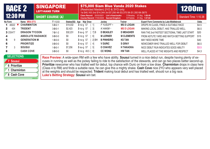|   | <b>RACE 2</b><br><b>12:30 PM</b> |                          | <b>SINGAPORE</b><br><b>LEFT-HAND TURN</b> |          |                                                                                       | (Restricted Maiden) 2YO & 3YO only | \$75,000 Siam Blue Vanda 2020 Stakes<br>1st \$40,163 2nd \$14,344 3rd \$7,256 4th \$3,375 5th \$1,350 6th \$675 |                                                                                                                                                                                                                                                 | <b>1200m</b>           |             |
|---|----------------------------------|--------------------------|-------------------------------------------|----------|---------------------------------------------------------------------------------------|------------------------------------|-----------------------------------------------------------------------------------------------------------------|-------------------------------------------------------------------------------------------------------------------------------------------------------------------------------------------------------------------------------------------------|------------------------|-------------|
|   |                                  |                          | <b>SHORT COURSE (A)</b>                   |          | Class Record: 20/03/2021 Lim's Kosciuszko<br>Course Record: 17/05/2009 Sacred Kingdom |                                    | D Beasley 57.0kg 1:09.49<br><b>B</b> Prebble                                                                    | 57.0kg 1:07.84                                                                                                                                                                                                                                  | Standard Time: 1:10.38 |             |
|   | No Form                          | Name MRA 0772            | $T-1-2-3$                                 |          | Stakes(S\$) Age Wgt Draw                                                              | Jockey                             | <b>Trainer</b>                                                                                                  | <b>Expert Form Comments by Luke Middlebrook</b>                                                                                                                                                                                                 |                        | <b>Odds</b> |
|   | 1 48322                          | <b>CHARMINTON</b>        | $5 - 0 - 2 - 1$                           | \$19,032 | 3 nz-g $57$<br>1                                                                      | FYUSOFF-3                          | <b>MS D LOGAN</b>                                                                                               | DROPS IN CLASS, FINDS A SUITABLE RACE                                                                                                                                                                                                           |                        | \$4.5       |
|   | 434<br>2.                        | <b>TRIDENT</b>           | $3 - 0 - 0 - 1$                           | \$2,423  | 3 <sup>1</sup><br>3 nz-g $57$                                                         | K HAKIM-1                          | <b>MS D LOGAN</b>                                                                                               | MAKING LOCAL DEBUT, HAS TRIALLED WELL                                                                                                                                                                                                           |                        | \$6.5       |
|   | 3 233477                         | <b>DRAGON TYCOON</b>     | $7 - 0 - 1 - 2$                           | \$32,231 | <b>3</b> au-g 57<br>$7 \mid B$                                                        | <b>D BEASLEY</b>                   | <b>D MEAGHER</b>                                                                                                | <b>RAN THE 2nd FASTEST SECTIONAL TIME LAST START</b>                                                                                                                                                                                            |                        | \$20        |
|   |                                  | <b>ABSOLUTE RADIANCE</b> | $0 - 0 - 0 - 0$                           | \$0      | 3 nz-g 57<br>61                                                                       | <b>MLERNER</b>                     | <b>M CLEMENTS</b>                                                                                               | FROM ASTUTE YARD AND WATCH BETTING SUPPORT                                                                                                                                                                                                      |                        | \$15        |
|   | 9                                | <b>GENERATION M</b>      | $1 - 0 - 0 - 0$                           | \$0      | 3 $nz-g$ 57<br>$2$ BH                                                                 | <b>B PINHEIRO</b>                  | <b>KS TAN</b>                                                                                                   | MAY NEED MORE TIME                                                                                                                                                                                                                              |                        | \$40        |
|   |                                  | <b>PRIORITIZE</b>        | $0 - 0 - 0 - 0$                           | \$0      | 3 nz-g 57<br>4]                                                                       | <b>V DURIC</b>                     | <b>S GRAY</b>                                                                                                   | NEWCOMER WHO TRIALLED WELL FOR DEBUT                                                                                                                                                                                                            |                        | \$6.5       |
|   | 3                                | <b>SOUSUI</b>            | $1 - 0 - 0 - 1$                           | \$7,256  | <b>3</b> au-g 57<br>- 51                                                              | <b>O CHAVEZ</b>                    | <b>H TAKAOKA</b>                                                                                                | NICE DEBUT RUN INDICATES GOOD ABILITY                                                                                                                                                                                                           |                        | \$3.5       |
| 8 |                                  | <b>CASH COVE</b>         | $0 - 0 - 0 - 0$                           | \$0      | <b>2</b> nz-g 49.5 $\begin{bmatrix} 8 \end{bmatrix}$                                  | <b>CC WONG</b>                     | <b>HW TAN</b>                                                                                                   | WELL PLACED AT THE WEIGHTS AND RESPECT                                                                                                                                                                                                          |                        | \$4.3       |
|   | <b>SELECTIONS</b>                |                          |                                           |          |                                                                                       |                                    |                                                                                                                 | Race Preview: A wide-open RM with a few who have ability. Sousui turned in a nice debut run, despite having plenty of ex-                                                                                                                       |                        |             |
|   | 7 Sousui                         |                          |                                           |          |                                                                                       |                                    |                                                                                                                 | cuses in running as well as the jockey failing to ride to the satisfaction of the stewards, and can go two places better second-up.                                                                                                             |                        |             |
|   | 6 Prioritize                     |                          |                                           |          |                                                                                       |                                    |                                                                                                                 | Prioritize newcomer who has trialled well for debut, top chance with Duric on from a low draw. Charminton drops in class here                                                                                                                   |                        |             |
|   | 1 Charminton                     |                          |                                           |          |                                                                                       |                                    |                                                                                                                 | (Class 4 to RM) and finds a suitable race, he can give this a mighty shake. Cash Cove nice 2YO who appears very well placed<br>at the weights and should be respected. Trident making local debut and has trialled well, should run a big race. |                        |             |
|   | 8 Cash Cove                      |                          |                                           |          | Luke's Betting Strategy: Sousui win bet.                                              |                                    |                                                                                                                 |                                                                                                                                                                                                                                                 |                        |             |

**Luke's Betting Strategy: Sousui** win bet.

**iRACE**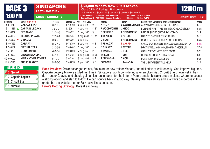| <b>RACE 3</b>                 |                       |                          | <b>SINGAPORE</b><br><b>LEFT-HAND TURN</b> |             |                                                       | \$30,000 What's New 2019 Stakes<br>(Class 5 Div 1) Ratings: 48 & below<br>1st \$16,065 2nd \$5,738 3rd \$2,903 4th \$1,350 5th \$540 6th \$270 |                                                       |                                                                                                                                                                                                                                                                   |                        |       |  |
|-------------------------------|-----------------------|--------------------------|-------------------------------------------|-------------|-------------------------------------------------------|------------------------------------------------------------------------------------------------------------------------------------------------|-------------------------------------------------------|-------------------------------------------------------------------------------------------------------------------------------------------------------------------------------------------------------------------------------------------------------------------|------------------------|-------|--|
| <b>1:00 PM</b>                |                       |                          | <b>SHORT COURSE (A)</b>                   |             |                                                       | Class Record: 14/05/2022 Sun Rectitude<br>Course Record: 17/05/2009 Sacred Kingdom                                                             | R Iskandar 57.0kg 1:09.90<br>B Prebble 57.0kg 1:07.84 |                                                                                                                                                                                                                                                                   | Standard Time: 1:11.04 |       |  |
| No Form                       | Name MRA 0773         |                          | $T-1-2-3$                                 | Stakes(S\$) | <b>Wgt Draw</b><br>Age                                | Jockey                                                                                                                                         | <b>Trainer</b>                                        | <b>Expert Form Comments by Luke Middlebrook</b>                                                                                                                                                                                                                   |                        | Odds  |  |
| 1 244212                      | <b>GALAXY STAR</b>    |                          | $38 - 4 - 5 - 3$                          | \$160,102   | <b>6</b> au-g 59<br>$[10]$                            | K FAIZ-4                                                                                                                                       |                                                       | S BAERTSCHIGER ALWAYS DANGEROUS IN THIS GRADE                                                                                                                                                                                                                     |                        | \$10  |  |
| 487                           | <b>CAPTAIN LEGACY</b> |                          | $3 - 0 - 0 - 0$                           | \$3,375     | 4 $B^*$<br>4 au-g $58$                                | <b>R WOODWORTH</b>                                                                                                                             | L KHOO                                                | BLINKERS FIRST TIME IN SINGAPORE, CONSIDER                                                                                                                                                                                                                        |                        | \$5.5 |  |
| 3 535309                      | <b>BEN WADE</b>       |                          | $21 - 2 - 1 - 5$                          | \$53,437    | 5 nz-g 56.5 $[9]$                                     | <b>B PINHEIRO</b>                                                                                                                              | <b>T FITZSIMMONS</b>                                  | BETTER SUITED ON THE POLYTRACK                                                                                                                                                                                                                                    |                        | \$19  |  |
| 4 443189                      | <b>TESORO PIRATA</b>  |                          | $17 - 1 - 2 - 1$                          | \$28,845    | 4 arg-g 56.5 [11] W                                   | <b>J BAYLISS</b>                                                                                                                               | <b>J PETERS</b>                                       | HARD TO CATCH BUT HAS ABILITY                                                                                                                                                                                                                                     |                        | \$18  |  |
| 5 765507                      | <b>MIRACLE</b>        |                          | $30 - 3 - 0 - 3$                          | \$69,930    | <b>6</b> au-g 56<br>$\begin{bmatrix} 7 \end{bmatrix}$ | <b>D MOOR</b>                                                                                                                                  | <b>T FITZSIMMONS</b>                                  | DROPS IN CLASS, FINDS A SUITABLE RACE                                                                                                                                                                                                                             |                        | \$6.5 |  |
| 6 407965                      | QARAAT+               |                          | $65 - 7 - 4 - 9$                          | \$472,750   | <b>8</b> au-g 56<br>6] B                              | T REHAIZAT 1                                                                                                                                   | <b>T MAHADI</b>                                       | CHANGE OF TRAINER, TRIALLED WELL RECENTLY                                                                                                                                                                                                                         |                        | \$4.5 |  |
| 7 786147                      | <b>CIRCUIT STAR</b>   |                          | $31 - 3 - 3 - 1$                          | \$109,462   | 5 nz-g 55.5   1   V                                   | <b>O CHAVEZ</b>                                                                                                                                | <b>J PETERS</b>                                       | DRAWN WELL AND SHOULD GAIN A NICE RUN                                                                                                                                                                                                                             |                        | \$7.5 |  |
| 8 418805                      | <b>STAR EMPIRE</b>    |                          | $48 - 5 - 6 - 2$                          | \$196,220   | $7$ au-g $55$<br>$2 \mid B$                           | T KRISNA-2                                                                                                                                     | <b>D KOK</b>                                          | CAN UPSET ON VERY BEST FORM                                                                                                                                                                                                                                       |                        | \$20  |  |
| 9 070920                      |                       | <b>CROWN DANCING</b>     | $24 - 1 - 4 - 0$                          | \$46,612    | 5 au-g 53.5   3 BS                                    | <b>TH KOH</b> 1                                                                                                                                | <b>RLIM</b>                                           | RESUMING, RECENT TRIAL OKAY                                                                                                                                                                                                                                       |                        | \$30  |  |
| 10 099009                     |                       | <b>NINESIXTHREETHREE</b> | $9 - 1 - 0 - 0$                           | \$10,710    | 5 nz-g 53.5 [ 8] B                                    | R ISKANDAR-2                                                                                                                                   | <b>D KOH</b>                                          | FORM IS ON THE DULL SIDE                                                                                                                                                                                                                                          |                        | \$66  |  |
| 11 937176                     | <b>SUN ELIZABETH</b>  |                          | $55 - 5 - 5 - 5$                          | \$146,876   | 8 jp-m 53.5 [ 5] B                                    | <b>CC WONG</b>                                                                                                                                 | <b>H TAKAOKA</b>                                      | THE LIGHTWEIGHT WILL HELP                                                                                                                                                                                                                                         |                        | \$14  |  |
| <b>SELECTIONS</b><br>6 Qaraat |                       |                          |                                           |             |                                                       |                                                                                                                                                |                                                       | Race Preview: Qaraat changed trainer, first start for new trainer Mahadi, and trialled very well recently. Can improve big time.<br>Captain Legacy blinkers added first time in Singapore, worth considering after an okay trial. Circuit Star drawn well in bar- |                        |       |  |

**2 Captain Legacy 7 Circuit Star**

**5 Miracle**

**iRACE**

rier 1 under Chavez and should gain a nice run in transit for the in-form Peters stable. **Miracle** drops in class, where he boasts a strong record, and start to follow. He can bounce back in a big way. **Galaxy Star** has ability and is always dangerous in this grade, but the wide barrier for Faiz looks like a concern. **Luke's Betting Strategy: Qaraat** each-way.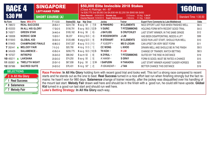|                   | <b>SINGAPORE</b><br><b>RACE 4</b><br><b>LEFT-HAND TURN</b> |  |                         | (Class 4) Ratings: 44 - 67 | \$50,000 Elite Invincible 2018 Stakes<br>1st \$26,775 2nd \$9,563 3rd \$4,838 4th \$2,250 5th \$900 6th \$450 |                                                                                    |                                      | <b>1600m</b>                                                                                                                        |                        |             |
|-------------------|------------------------------------------------------------|--|-------------------------|----------------------------|---------------------------------------------------------------------------------------------------------------|------------------------------------------------------------------------------------|--------------------------------------|-------------------------------------------------------------------------------------------------------------------------------------|------------------------|-------------|
| <b>1:30 PM</b>    |                                                            |  | <b>SHORT COURSE (A)</b> |                            |                                                                                                               | Class Record: 24/04/2010 Dorado Joy<br>Course Record: 15/09/2013 Super Ninetyseven | O Chavez 53.5kg 1:34.37<br>J Moreira | 51.5kg 1:33.61                                                                                                                      | Standard Time: 1:35.50 |             |
| No Form           | Name MRA 0774                                              |  | $T-1-2-3$               |                            | Stakes(S\$) Age Wgt Draw                                                                                      | Jockey                                                                             | <b>Trainer</b>                       | <b>Expert Form Comments by Luke Middlebrook</b>                                                                                     |                        | <b>Odds</b> |
| 1 788572          | <b>REAL SUCCESS</b>                                        |  | $28 - 5 - 4 - 1$        | \$224,730                  | <b>6</b> au-g 59<br>7] B                                                                                      | <b>B PINHEIRO</b>                                                                  | <b>M CLEMENTS</b>                    | NICE EFFORT LAST RUN WHEN FINISHED WELL                                                                                             |                        | \$6.5       |
| 2 453333          | IN ALL HIS GLORY                                           |  | $17 - 3 - 2 - 5$        | \$156,791                  | 5 au-g 56.5 [12] Bt                                                                                           | <b>V DURIC</b>                                                                     | <b>T FITZSIMMONS</b>                 | HOLDING FORM WITH RECENT GOOD TRIAL                                                                                                 |                        | \$4.5       |
| 3 742671          | <b>GREEN STAR</b>                                          |  | $34 - 4 - 5 - 4$        | \$185,162                  | 8 nz-g 56<br>$[6]$ t                                                                                          | <b>J BAYLISS</b>                                                                   | <b>S CRUTCHLEY</b>                   | LAST START WINNER, IN THE SAME GRADE                                                                                                |                        | \$12        |
| 4 100008          | <b>NORDIC GEM</b>                                          |  | $10 - 2 - 0 - 1$        | \$6,237                    | 4 brz-g 55.5   4 t                                                                                            | <b>R WOODWORTH</b>                                                                 | J LIM                                | HAS BEEN DISAPPOINTING, NEEDS A LIFT                                                                                                |                        | \$99        |
| 5 615643          | <b>GLOBAL KID</b>                                          |  | $30 - 3 - 3 - 4$        | \$120,486                  | 6 arg-g 52.5 [ 9]                                                                                             | <b>R STEWART</b>                                                                   | <b>M CLEMENTS</b>                    | GOOD RUN LAST START, SHOULD RUN WELL                                                                                                |                        | \$10        |
| 6 019405          | <b>CHAMPAGNE FINALE</b>                                    |  | $40 - 6 - 2 - 2$        | \$167,337                  | 6 au-g 51.5 [11] <sup>t</sup>                                                                                 | FYUSOFF-3                                                                          | <b>MS D LOGAN</b>                    | CAN UPSET ON VERY BEST FORM                                                                                                         |                        | \$11        |
| 7 262441          | <b>MELODY FAIR</b>                                         |  | $7 - 1 - 2 - 0$         | \$20,790                   | 4 nz-g $51.5$ [ 1]                                                                                            | <b>CC WONG</b>                                                                     | L KHOO                               | DRAWN WELL AND SHOULD BE IN THE FINISH                                                                                              |                        | \$9.5       |
| 8 345426          | <b>SALAMENCE +</b>                                         |  | $43 - 5 - 2 - 4$        | \$206,775                  | 6 au-g 50.5 [10] Bt                                                                                           | <b>TH KOH 1</b>                                                                    | <b>R LIM</b>                         | CHANGE OF TRAINER, WATCH BETTING                                                                                                    |                        | \$8.5       |
| 9 167027          | <b>INTREPID</b>                                            |  | $35 - 3 - 5 - 0$        | \$88,942                   | <b>5</b> au-m 50<br>$\begin{bmatrix} 8 \end{bmatrix}$                                                         | N ZYRUL -2                                                                         | <b>T FITZSIMMONS</b>                 | SUITED BY THE RISE IN DISTANCE                                                                                                      |                        | \$19        |
| 10 483211         | <b>LAKSANA</b>                                             |  | $20 - 3 - 3 - 2$        | \$74,250                   | <b>5</b> au-g 50<br>5                                                                                         | K HAKIM 1                                                                          | <b>S GRAY</b>                        | FORM IS GOOD, MUST BE RATED A CHANCE                                                                                                |                        | \$15        |
| 11 850901         | <b>TWELFTH NIGHT</b>                                       |  | $20 - 3 - 1 - 0$        | \$67,938                   | <b>5</b> jp-g 50<br>$3$ Wt                                                                                    | <b>I SAIFUDIN</b>                                                                  | <b>H TAKAOKA</b>                     | LAST START WINNER AGAINST EASIER HORSES                                                                                             |                        | \$25        |
| 12 097986         | <b>SACRED SUITE</b>                                        |  | $24 - 2 - 3 - 2$        | \$76,431                   | 5 nz-g $50^*$<br>2                                                                                            | R ISKANDAR-2                                                                       | <b>J TAN</b>                         | BETTER CHANCE THIS DISTANCE                                                                                                         |                        | \$19        |
| <b>SELECTIONS</b> |                                                            |  |                         |                            |                                                                                                               |                                                                                    |                                      | Race Preview: In All His Glory holding form with recent good trial and looks well. This isn't a strong race compared to recent      |                        |             |
|                   | 2 In All His Glory                                         |  |                         |                            |                                                                                                               |                                                                                    |                                      | starts and he stands out as the one to beat. Real Success turned in a nice effort last run when finishing strongly but the fact re- |                        |             |

**Kid** turned in a good run last start and should run well here. **Luke's Betting Strategy: In All His Glory each-way.** 

mains: he hasn't won for 980 days. **Salamence** change of trainer recently, after the jockey was disqualified over his handling of the mount last start. **Melody Fair** drawn well here and should be in the finish with a good run, he could still have upside. **Global** 

**iRACE**

**1 Real Success 8 Salamence 7 Melody Fair**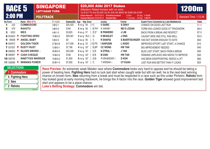|    |                                      | <b>SINGAPORE</b><br><b>RACE 5</b><br><b>LEFT-HAND TURN</b> |                                     |                          | \$20,000 Alibi 2017 Stakes<br>(Maiden) Rated horses with no wins<br>1st \$10,710 2nd \$3,825 3rd \$1,935 4th \$900 5th \$360 6th \$180<br>Class Record: 05/07/2013 Primitive Instinct |          |                                      |                   |                    |                                                                                                                                                                                                                                                                                                                                                                                                                                                                                                                                                                                                                              |                        |             |
|----|--------------------------------------|------------------------------------------------------------|-------------------------------------|--------------------------|---------------------------------------------------------------------------------------------------------------------------------------------------------------------------------------|----------|--------------------------------------|-------------------|--------------------|------------------------------------------------------------------------------------------------------------------------------------------------------------------------------------------------------------------------------------------------------------------------------------------------------------------------------------------------------------------------------------------------------------------------------------------------------------------------------------------------------------------------------------------------------------------------------------------------------------------------------|------------------------|-------------|
|    | <b>2:00 PM</b>                       |                                                            |                                     |                          | <b>POLYTRACK</b>                                                                                                                                                                      |          | Course Record: 05/09/2010 Rocket Man |                   | S Noh<br>F Coetzee | 54.5kg 1:10.97<br>59.0kg 1:09.74                                                                                                                                                                                                                                                                                                                                                                                                                                                                                                                                                                                             | Standard Time: 1:12.44 |             |
|    | No Form                              |                                                            |                                     | Name MRA 0775            | $T-1-2-3$                                                                                                                                                                             |          | Stakes(S\$) Age Wgt Draw             | Jockey            | <b>Trainer</b>     | <b>Expert Form Comments by Luke Middlebrook</b>                                                                                                                                                                                                                                                                                                                                                                                                                                                                                                                                                                              |                        | <b>Odds</b> |
|    | 232                                  |                                                            |                                     | <b>COMMODORE</b>         | $3 - 0 - 2 - 1$                                                                                                                                                                       | \$25,425 | 5 nz-g $59$<br>$[11]$                | <b>V DURIC</b>    | <b>S GRAY</b>      | CHANCE ON GOOD LAST RUN                                                                                                                                                                                                                                                                                                                                                                                                                                                                                                                                                                                                      |                        | \$1.5       |
|    | 679                                  |                                                            | <b>RAHOTU</b>                       |                          | $3 - 0 - 0 - 0$                                                                                                                                                                       | \$180    | <b>5</b> ire-g 58<br>8] PH*          | K HAKIM-1         | <b>MS D LOGAN</b>  | FORM HAS LOOKED GOOD AT TRACKWORK                                                                                                                                                                                                                                                                                                                                                                                                                                                                                                                                                                                            |                        | \$8.5       |
| 3. | 0020                                 |                                                            | <b>IBEX</b>                         |                          | $4 - 0 - 1 - 0$                                                                                                                                                                       | \$3,825  | 4 au-g 57<br>$3]S^*$                 | <b>B PINHEIRO</b> | J LIM              | <b>BACK FROM A BREAK AND RESPECT</b>                                                                                                                                                                                                                                                                                                                                                                                                                                                                                                                                                                                         |                        | \$7.5       |
|    | 4 054923                             |                                                            |                                     | <b>FIGHTING HERO</b>     | $10 - 0 - 2 - 2$                                                                                                                                                                      | \$29,587 | 4 au-g 56.5 [ 2]t                    | <b>D BEASLEY</b>  | <b>JONG</b>        | CAUGHT WIDE AND STILL RAN WELL                                                                                                                                                                                                                                                                                                                                                                                                                                                                                                                                                                                               |                        | \$3.5       |
|    | 5 80008                              |                                                            |                                     | <b>ANGEL BABY</b>        | $5 - 0 - 0 - 0$                                                                                                                                                                       | \$0      | <b>3</b> au-g 56<br>$\left  \right $ | <b>R SHAFIQ</b>   |                    | S BAERTSCHIGER HAS NOT SHOWN ENOUGH TO DATE                                                                                                                                                                                                                                                                                                                                                                                                                                                                                                                                                                                  |                        | \$50        |
|    | 6 604972                             |                                                            |                                     | <b>GOLDEN TIGER</b>      | $27 - 0 - 3 - 6$                                                                                                                                                                      | \$17,939 | <b>6</b> au-g 53<br>[10] $PS$        | <b>I SAIFUDIN</b> | L KHOO             | IMPROVED EFFORT LAST START, A CHANCE                                                                                                                                                                                                                                                                                                                                                                                                                                                                                                                                                                                         |                        | \$15        |
|    | 7 507007                             |                                                            |                                     | <b>RUSTY RUST</b>        | $13 - 0 - 0 - 1$                                                                                                                                                                      | \$7,796  | 4 nz-g $50^*$<br>$9$ BP              | <b>CC WONG</b>    | <b>HW TAN</b>      | <b>BIG IMPROVEMENT NEEDED</b>                                                                                                                                                                                                                                                                                                                                                                                                                                                                                                                                                                                                |                        | \$40        |
|    | 8 699930                             | V                                                          |                                     | SILVER SWORD +           | $26 - 0 - 0 - 5$                                                                                                                                                                      | \$23,006 | 5 au-g $50^*$<br>$5$ ] B             | N ZYRUL -2        | <b>J TAN</b>       | BLED LAST START, BACK FROM A BREAK                                                                                                                                                                                                                                                                                                                                                                                                                                                                                                                                                                                           |                        | \$30        |
|    | <b>9</b> 990807 $\blacktriangledown$ |                                                            |                                     | <b>CASH CHEQUE</b>       | $16 - 0 - 0 - 0$                                                                                                                                                                      | \$180    | 3 nz-g $50^*$<br>6] B                | <b>M ZAKI</b>     | <b>HW TAN</b>      | REMAINS UNPLACED AND NEEDS TO IMPROVE                                                                                                                                                                                                                                                                                                                                                                                                                                                                                                                                                                                        |                        | \$50        |
|    | 10 008785                            |                                                            |                                     | <b>NINETYSIX WARRIOR</b> | $18 - 0 - 0 - 0$                                                                                                                                                                      | \$1,800  | 6 nz-g $50^*$<br>$4$ ] $Bt$          | R ISKANDAR-2      | <b>D KOH</b>       | HAS BEEN DISAPPOINTING, NEEDS A LIFT                                                                                                                                                                                                                                                                                                                                                                                                                                                                                                                                                                                         |                        | \$60        |
|    | 11 508086 ▼                          |                                                            |                                     | <b>WINNING POWER</b>     | $35 - 0 - 1 - 0$                                                                                                                                                                      | \$7,830  | <b>5</b> us-g $50^*$ [ 7]            | T KRISNA -2       | <b>CT KUAH</b>     | LAST RUN WAS BETTER THAN IT LOOKS                                                                                                                                                                                                                                                                                                                                                                                                                                                                                                                                                                                            |                        | \$22        |
|    | <b>SELECTIONS</b>                    |                                                            | <b>Commodore</b><br>4 Fighting Hero |                          |                                                                                                                                                                                       |          |                                      |                   |                    | Race Preview: An extremely weak Maiden race where Commodore looks very hard to oppose and he should be taking a<br>power of beating here. Fighting Hero had no luck last start when caught wide but still ran well, he is the next-best winning<br>chance on known form. <b>Ibex</b> returning from a break and must be respected in a race such as this under Pinheiro. Rahotu form<br>$\blacksquare$ . The contract of the contract of the contract of the contract of the contract of the contract of the contract of the contract of the contract of the contract of the contract of the contract of the contract of the |                        |             |

has looked good at early morning trackwork, he brings the X-factor into the race. **Golden Tiger** showed good improvement last

**3 Ibex**

**2 Rahotu**

**iRACE**

start and appears to be a place chance. **Luke's Betting Strategy: Commodore** win bet.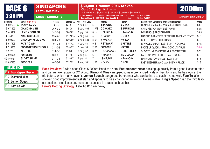| <b>RACE 6</b>                                                          |                          | <b>SINGAPORE</b><br><b>LEFT-HAND TURN</b> |                         |           |                                                                                                                            | \$30,000 Titanium 2016 Stakes<br>(Class 5) Ratings: 48 & below<br>1st \$16,065 2nd \$5,738 3rd \$2,903 4th \$1,350 5th \$540 6th \$270 |                           |                                                                                                                                                                                                                                                                                                                                                                                                                                                                                                                 |                        |             |  |
|------------------------------------------------------------------------|--------------------------|-------------------------------------------|-------------------------|-----------|----------------------------------------------------------------------------------------------------------------------------|----------------------------------------------------------------------------------------------------------------------------------------|---------------------------|-----------------------------------------------------------------------------------------------------------------------------------------------------------------------------------------------------------------------------------------------------------------------------------------------------------------------------------------------------------------------------------------------------------------------------------------------------------------------------------------------------------------|------------------------|-------------|--|
| <b>2:30 PM</b>                                                         |                          |                                           | <b>SHORT COURSE (A)</b> |           |                                                                                                                            | Class Record: 17/02/2017 Above The Horizon<br>Course Record: 18/05/2014 Dan Excel (HK)                                                 | CC Wong<br><b>T</b> Berry | 55.0kg 2:02.68<br>57.0kg 1:59.07                                                                                                                                                                                                                                                                                                                                                                                                                                                                                | Standard Time: 2:04.94 |             |  |
| No Form                                                                | Name MRA 0776            |                                           | $T-1-2-3$               |           | Stakes(S\$) Age Wgt Draw                                                                                                   | Jockey                                                                                                                                 | <b>Trainer</b>            | <b>Expert Form Comments by Luke Middlebrook</b>                                                                                                                                                                                                                                                                                                                                                                                                                                                                 |                        | <b>Odds</b> |  |
| 1 097600                                                               | <b>TAVI WILL DO</b>      |                                           | $7 - 0 - 0 - 0$         | \$270     | 4 nz-g $57$<br>-51                                                                                                         | <b>J BAYLISS</b>                                                                                                                       | <b>S GRAY</b>             | REMAINS UNPLACED AND NEEDS TO IMPROVE                                                                                                                                                                                                                                                                                                                                                                                                                                                                           |                        | \$30        |  |
| 2 671605                                                               | <b>DIAMOND MINE</b>      |                                           | $36 - 4 - 3 - 2$        | \$91,001  | 5 au-g 56.5 [11] WS                                                                                                        | <b>O CHAVEZ</b>                                                                                                                        | <b>S BURRIDGE</b>         | CAN UPSET ON VERY BEST FORM                                                                                                                                                                                                                                                                                                                                                                                                                                                                                     |                        | \$5.5       |  |
| 3 446442                                                               | <b>LEMON SQUASH</b>      |                                           | $28 - 2 - 2 - 3$        | \$60,862  | 6 jp-g 55<br>[10] Ht                                                                                                       | <b>L BEUZELIN</b>                                                                                                                      | <b>H TAKAOKA</b>          | DANGEROUS FRONTRUNNER                                                                                                                                                                                                                                                                                                                                                                                                                                                                                           |                        | \$8.5       |  |
| 4 758886                                                               | <b>KING'S SPEECH</b>     |                                           | $39 - 4 - 2 - 3$        | \$172,215 | 7 nz-g 54<br>-4]                                                                                                           | K HAKIM -1                                                                                                                             | <b>S GRAY</b>             | RAN THE 3rd FASTEST SECTIONAL TIME LAST START                                                                                                                                                                                                                                                                                                                                                                                                                                                                   |                        | \$13        |  |
| 5 000000                                                               | <b>GRANDPA MICK MAC</b>  |                                           | $53 - 5 - 7 - 4$        | \$205,807 | 6 nz-g 53.5<br>$8]$ $Bt$                                                                                                   | T KRISNA -2                                                                                                                            | <b>HW TAN</b>             | BETTER CHANCE THIS TRACK                                                                                                                                                                                                                                                                                                                                                                                                                                                                                        |                        | \$19        |  |
| 6 917503                                                               | <b>FATE TO WIN</b>       |                                           | $19 - 1 - 0 - 1$        | \$15,142  | 4 au-g 53<br>9] B                                                                                                          | <b>R STEWART</b>                                                                                                                       | <b>J PETERS</b>           | IMPROVED EFFORT LAST START, A CHANCE                                                                                                                                                                                                                                                                                                                                                                                                                                                                            |                        | \$7.5       |  |
| 7 715263                                                               | <b>FOOTSTEPSONTHECAR</b> |                                           | $21 - 1 - 2 - 3$        | \$35,497  | $5$ nz-m $53$<br>2] WH                                                                                                     | <b>CC WONG</b>                                                                                                                         | <b>KS TAN</b>             | BACKS UP QUICKLY FROM GOOD LAST RUN                                                                                                                                                                                                                                                                                                                                                                                                                                                                             |                        | \$4.5       |  |
| 8 977750                                                               | <b>ZESTFUL</b>           |                                           | $11 - 0 - 0 - 0$        | \$1,440   | $5$ nz-g $52$<br>$3$ Wt                                                                                                    | R ISKANDAR-2                                                                                                                           | <b>S CRUTCHLEY</b>        | SHOWED IMPROVEMENT AT A RECENT TRIAL                                                                                                                                                                                                                                                                                                                                                                                                                                                                            |                        | \$25        |  |
| 9 004995                                                               | <b>FORESTO</b>           |                                           | $53 - 4 - 4 - 3$        | \$177,041 | 7 au-g 51<br>-61                                                                                                           | FYUSOFF-3                                                                                                                              | <b>MS D LOGAN</b>         | LAST RUN WAS BETTER THAN IT LOOKS                                                                                                                                                                                                                                                                                                                                                                                                                                                                               |                        | \$19        |  |
| 10 866764                                                              | <b>GLORY SHINE</b>       |                                           | $27 - 1 - 0 - 1$        | \$33,457  | 7 jp-g 51<br>7]                                                                                                            | <b>I SAIFUDIN</b>                                                                                                                      | <b>H TAKAOKA</b>          | RAN HOME POWERFULLY LAST START                                                                                                                                                                                                                                                                                                                                                                                                                                                                                  |                        | \$15        |  |
| 11 057385                                                              | <b>SCOOTER</b>           |                                           | $40 - 2 - 3 - 7$        | \$71,392  | <b>7</b> au-g $50^*$<br>$\lceil$ 1] W                                                                                      | $KFAIZ-4$                                                                                                                              | <b>D KOH</b>              | <b>FAST BEGINNER WHO MAY SNEAK A PLACE</b>                                                                                                                                                                                                                                                                                                                                                                                                                                                                      |                        | \$18        |  |
| <b>SELECTIONS</b><br>2 Diamond Mine<br>3 Lemon Squash<br>6 Fate To Win | Footstepsonthecar        | <b>iRACE</b>                              |                         |           | est sectional time last start, must be respected in a race such as this.<br>Luke's Betting Strategy: Fate To Win each-way. |                                                                                                                                        |                           | Race Preview: A wide-open Class 5 2000m Handicap here. Footstepsonthecar backing up quickly from a good last start effort<br>and can run well again for CC Wong. Diamond Mine can upset some more fancied rivals on best form and he has won at the<br>trip before, which many haven't. Lemon Squash dangerous frontrunner who can be hard to catch if rated well. Fate To Win<br>showed good improvement last start and appears to be a chance for an in-form Peters stable. King's Speech ran the third fast- |                        |             |  |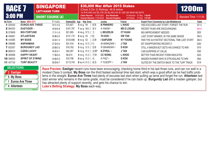| <b>RACE 7</b><br><b>3:00 PM</b>                             |                         |              | <b>SINGAPORE</b><br><b>LEFT-HAND TURN</b>                             |           |                                            | \$30,000 War Affair 2015 Stakes<br>(Class 5 Div 2) Ratings: 48 & below<br>1st \$16,065 2nd \$5,738 3rd \$2,903 4th \$1,350 5th \$540 6th \$270<br>Class Record: 14/05/2022 Sun Rectitude |                   |                                                                                                                                                                                                                                                                                                                                                                                                                                                                                                                                  |                        |       |  |
|-------------------------------------------------------------|-------------------------|--------------|-----------------------------------------------------------------------|-----------|--------------------------------------------|------------------------------------------------------------------------------------------------------------------------------------------------------------------------------------------|-------------------|----------------------------------------------------------------------------------------------------------------------------------------------------------------------------------------------------------------------------------------------------------------------------------------------------------------------------------------------------------------------------------------------------------------------------------------------------------------------------------------------------------------------------------|------------------------|-------|--|
|                                                             |                         |              | <b>SHORT COURSE (A)</b>                                               |           |                                            | Course Record: 17/05/2009 Sacred Kingdom                                                                                                                                                 | <b>B</b> Prebble  | R Iskandar 57.0kg 1:09.90<br>57.0kg 1:07.84                                                                                                                                                                                                                                                                                                                                                                                                                                                                                      | Standard Time: 1:11.04 |       |  |
| No Form                                                     | Name MRA 0777           |              | $T-1-2-3$                                                             |           | Stakes(S\$) Age Wgt Draw                   | Jockey                                                                                                                                                                                   | <b>Trainer</b>    | <b>Expert Form Comments by Luke Middlebrook</b>                                                                                                                                                                                                                                                                                                                                                                                                                                                                                  |                        | Odds  |  |
| 1 020450                                                    | <b>EUNOS AVE THREE</b>  |              | $24 - 1 - 4 - 2$                                                      | \$70,627  | 5 nz-g $59$<br>6] B                        | <b>B PINHEIRO</b>                                                                                                                                                                        | L KHOO            | HAD EXCUSES LAST START, FORGET THE RUN                                                                                                                                                                                                                                                                                                                                                                                                                                                                                           |                        | \$7.5 |  |
| 2 984333                                                    | <b>EASTIGER +</b>       |              | $45 - 3 - 5 - 8$                                                      | \$181,797 | 7 au-g 58.5 [ 9] V                         | K HAKIM-1                                                                                                                                                                                | <b>MS D LOGAN</b> | RECENT RUNS ARE ENCOURAGING                                                                                                                                                                                                                                                                                                                                                                                                                                                                                                      |                        | \$4.5 |  |
| 3 070609                                                    | <b>BIG FORTUNE</b>      |              | $17 - 1 - 1 - 0$                                                      | \$21,895  | 4 ire-g 57.5 [ 1]                          | <b>L BEUZELIN</b>                                                                                                                                                                        | <b>CT KUAH</b>    | <b>BIG IMPROVEMENT NEEDED</b>                                                                                                                                                                                                                                                                                                                                                                                                                                                                                                    |                        | \$20  |  |
| 4 458091                                                    | <b>ATLANTEAN</b>        |              | $52 - 6 - 2 - 2$                                                      | \$131,175 | <b>6</b> au-g 55<br>$[10]$                 | TH KOH 1                                                                                                                                                                                 | <b>HW TAN</b>     | LAST START WINNER, IN THE SAME GRADE                                                                                                                                                                                                                                                                                                                                                                                                                                                                                             |                        | \$8.5 |  |
| 5 444085                                                    | <b>MY BOSS</b>          |              | $44 - 3 - 1 - 4$                                                      | \$104,696 | 6 nz-g 52<br>$2 \mid Bt$                   | <b>I SAIFUDIN</b>                                                                                                                                                                        | <b>KY YOUNG</b>   | RAN THE 3rd FASTEST SECTIONAL TIME LAST START                                                                                                                                                                                                                                                                                                                                                                                                                                                                                    |                        | \$6.5 |  |
| 6 506686                                                    | <b>ANPANMAN</b>         |              | $27 - 2 - 0 - 0$                                                      | \$31,916  | 6 nz-g 51.5 [11]                           | M AKMAZANI-3                                                                                                                                                                             | <b>J TAN</b>      | <b>BIT DISAPPOINTING RECENTLY</b>                                                                                                                                                                                                                                                                                                                                                                                                                                                                                                |                        | \$30  |  |
| 7 923267                                                    | <b>BURGUNDY LAD</b>     |              | $20 - 0 - 2 - 2$                                                      | \$16,762  | 5 nz-g 51.5 [ 5] B                         | R ISKANDAR-2                                                                                                                                                                             | <b>D KOH</b>      | STILL A MAIDEN BUT GETS HIS CHANCE TO WIN                                                                                                                                                                                                                                                                                                                                                                                                                                                                                        |                        | \$10  |  |
| 8 860070                                                    | <b>CIZEN LUCKY</b>      |              | $34 - 2 - 2 - 1$                                                      | \$52,267  | 6 nz-g 51.5 [ 3] BP                        | N ZYRUL -2                                                                                                                                                                               | <b>J TAN</b>      | <b>CAN SURPRISE AT VALUE</b>                                                                                                                                                                                                                                                                                                                                                                                                                                                                                                     |                        | \$30  |  |
| 9 363068                                                    | <b>HAPPY HEART</b>      |              | $17 - 0 - 0 - 2$                                                      | \$6,615   | 4 nz-g 51.5 [ 7] W                         | <b>CC WONG</b>                                                                                                                                                                           | L KHOO            | BETTER THAN RECENT FORM INDICATES                                                                                                                                                                                                                                                                                                                                                                                                                                                                                                |                        | \$25  |  |
| 10 306055                                                   | <b>SPIRIT OF D'WIND</b> |              | $24 - 0 - 0 - 3$                                                      | \$16,796  | 6 au-g 51.5 [4]                            | K FAIZ-4                                                                                                                                                                                 | <b>D KOH</b>      | MAIDEN RUNNER WHO IS STRUGGLING TO WIN                                                                                                                                                                                                                                                                                                                                                                                                                                                                                           |                        | \$50  |  |
| 11 407750                                                   | <b>TURF BEAUTY</b>      |              | $56 - 3 - 6 - 7$                                                      | \$113,745 | 8 au-m 51.5 [ 8] St                        | FYUSOFF-3                                                                                                                                                                                | <b>J TAN</b>      | SUITED BY THE SWITCH BACK TO THE TURF TRACK                                                                                                                                                                                                                                                                                                                                                                                                                                                                                      |                        | \$19  |  |
| <b>SELECTIONS</b><br>2 Eastiger<br>5 My Boss<br>4 Atlantean | 1 Eunos Ave Three       | <b>iRACE</b> | has attracted plenty of support recently, and gets his chance to win. |           | Luke's Betting Strategy: My Boss each-way. |                                                                                                                                                                                          |                   | Race Preview: Eastiger recent runs have been encouraging, checking home third in his last three runs, and can run well in a<br>modest Class 5 contest. My Boss ran the third fastest sectional time last start, which was a good effort as he had traffic prob-<br>lems in the straight. Eunos Ave Three had plenty of excuses last start when pulling up lame and forget the run. Atlantean last<br>start winner who remains in the same grade, must be considered if he can back up. Burgundy Lad still a maiden galloper, but |                        |       |  |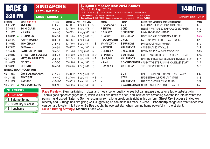|                                 | <b>SINGAPORE</b><br><b>RACE 8</b><br><b>LEFT-HAND TURN</b> |                         |                   |           | \$70,000 Emperor Max 2014 Stakes<br>(Class 3) Ratings: 57 - 79<br>1st \$37,485 2nd \$13,388 3rd \$6,773 4th \$3,150 5th \$1,260 6th \$630 |                                             |                       |                                                                                                                                                                                                                                                                                                                                                                                         |                        |             |
|---------------------------------|------------------------------------------------------------|-------------------------|-------------------|-----------|-------------------------------------------------------------------------------------------------------------------------------------------|---------------------------------------------|-----------------------|-----------------------------------------------------------------------------------------------------------------------------------------------------------------------------------------------------------------------------------------------------------------------------------------------------------------------------------------------------------------------------------------|------------------------|-------------|
| <b>3:30 PM</b>                  |                                                            | <b>SHORT COURSE (A)</b> |                   |           | Class Record: 18/02/2018 Aotearoa                                                                                                         | Course Record: 05/04/2013 Super Ninetyseven | A Munro<br>J Moreira  | 54.5kg 1:21.44<br>51.5kg 1:20.58                                                                                                                                                                                                                                                                                                                                                        | Standard Time: 1:22.15 |             |
| No Form                         | Name MRA 0778                                              |                         | $T-1-2-3$         |           | Stakes(S\$) Age Wgt Draw                                                                                                                  | Jockey                                      | <b>Trainer</b>        | <b>Expert Form Comments by Luke Middlebrook</b>                                                                                                                                                                                                                                                                                                                                         |                        | <b>Odds</b> |
| 1 216214                        | <b>SKY EYE</b>                                             |                         | $27 - 5 - 7 - 5$  | \$243,011 | 5 nz-g 57.5 [16]t                                                                                                                         | R ISKANDAR-2                                | J LIM                 | SUITED BY THE DROP BACK IN DISTANCE                                                                                                                                                                                                                                                                                                                                                     |                        | \$15        |
| 2 794347                        | <b>SO HI CLASS</b>                                         |                         | $40 - 7 - 2 - 5$  | \$247,556 | 6 ire-g 57.5 [ 4]                                                                                                                         | <b>R SHAFIQ</b>                             | <b>JONG</b>           | NEEDS A FAST SPEED TO PRODUCE BIG FINISH                                                                                                                                                                                                                                                                                                                                                |                        | \$12        |
| 3 114600                        | <b>MY MAN</b>                                              |                         | $10 - 4 - 1 - 0$  | \$40,029  | 4 arg-g 56.5 [10] St                                                                                                                      | <b>O CHAVEZ</b>                             | <b>S BURRIDGE</b>     | <b>BIG IMPROVEMENT NEEDED</b>                                                                                                                                                                                                                                                                                                                                                           |                        | \$25        |
| 4 380011                        | <b>STENMARK</b>                                            |                         | 26-4-6-4          | \$211,785 | 4 au-g 56.5 [11]                                                                                                                          | K HAKIM-1                                   | <b>MS D LOGAN</b>     | RISES IN CLASS BUT CAN MEASURE UP                                                                                                                                                                                                                                                                                                                                                       |                        | \$5.5       |
| 5 221279                        | <b>HAPPY MOMENT</b>                                        |                         | $23 - 6 - 3 - 1$  | \$231,637 | 5 nz-g 55.5 $[14]$ t                                                                                                                      | <b>R WOODWORTH</b>                          | <b>D KOK</b>          | LAST RUN WAS BETTER THAN IT LOOKS                                                                                                                                                                                                                                                                                                                                                       |                        | \$25        |
| 6 105530                        | <b>IRONCHAMP</b>                                           |                         | $34 - 5 - 4 - 8$  | \$247,066 | 5 au-g 55 [ 1] S                                                                                                                          | M AKMAZANI -3                               | <b>S BURRIDGE</b>     | <b>DANGEROUS FRONTRUNNER</b>                                                                                                                                                                                                                                                                                                                                                            |                        | \$12        |
| 7 075130                        | PATTAYA +                                                  |                         | $20 - 4 - 5 - 4$  | \$208,372 | 5 nz-g 54.5 [15]t                                                                                                                         | <b>M LERNER</b>                             | <b>M CLEMENTS</b>     | CAN BE PLACED AT VALUE                                                                                                                                                                                                                                                                                                                                                                  |                        | \$19        |
| 8 154514                        | <b>SATURNO SPRING</b>                                      |                         | $16 - 4 - 3 - 0$  | \$111,488 | <b>5</b> arg-g 54.5 [ 5]                                                                                                                  | <b>D BEASLEY</b>                            | <b>D MEAGHER</b>      | RESUMING AND MARKET BEST GUIDE                                                                                                                                                                                                                                                                                                                                                          |                        | \$6.5       |
| 9 203417                        | <b>STREET CRY SUCCESS</b>                                  |                         | 48-8-7-4          | \$481,259 | 7 au-g 54.5 [ 3] St                                                                                                                       | <b>B PINHEIRO</b>                           | <b>S BURRIDGE</b>     | FAILED LAST START BUT TRIALLED WELL SINCE                                                                                                                                                                                                                                                                                                                                               |                        | \$7.5       |
| 10 871066                       | <b>VITTORIA PERFETTA</b>                                   |                         | $36 - 6 - 1 - 5$  | \$271,743 | 6 au-g 54.5 [ 8] B                                                                                                                        | <b>I SAIFUDIN</b>                           | <b>M CLEMENTS</b>     | RAN THE 3rd FASTEST SECTIONAL TIME LAST START                                                                                                                                                                                                                                                                                                                                           |                        | \$17        |
| 11 160607                       | BE BEE+                                                    |                         | $42 - 7 - 3 - 5$  | \$761,886 | 7 nz-g 53.5 [ 2]                                                                                                                          | <b>M ZAKI</b>                               | <b>S BAERTSCHIGER</b> | CAUGHT THE EYE RUNNING HOME LAST START                                                                                                                                                                                                                                                                                                                                                  |                        | \$14        |
| 12 588316                       | <b>REIGNITE</b>                                            |                         | $20 - 4 - 3 - 1$  | \$134,764 | 4 au-g 53.5 [ 7]t                                                                                                                         | FYUSOFF-3                                   | <b>MS D LOGAN</b>     | THE LIGHTWEIGHT WILL HELP                                                                                                                                                                                                                                                                                                                                                               |                        | \$13        |
|                                 | <b>EMERGENCY ACCEPTOR</b>                                  |                         |                   |           |                                                                                                                                           |                                             |                       |                                                                                                                                                                                                                                                                                                                                                                                         |                        |             |
| 13 110830                       | <b>CRYSTAL WARRIOR +</b>                                   |                         | $21 - 4 - 2 - 3$  | \$150,542 | 4 au-g 54.5 [12] S                                                                                                                        | $\sim$                                      | J LIM                 | LIKES TO JUMP AND RUN. WILL RACE HANDY                                                                                                                                                                                                                                                                                                                                                  |                        | \$30        |
| 14 281116                       | <b>BIG TIGER</b>                                           |                         | $15 - 4 - 4 - 0$  | \$127,496 | <b>5</b> au-g 54<br>$\lceil 9 \rceil B$                                                                                                   | ⊷                                           | <b>J TAN</b>          | <b>HAD BETTING SUPPORT LAST START</b>                                                                                                                                                                                                                                                                                                                                                   |                        | \$18        |
| 15 914209                       | <b>KARISTO</b>                                             |                         | 42-5-10-3         | \$269,725 | 7 au-g 54 [13] B                                                                                                                          | $\sim$                                      | <b>M CLEMENTS</b>     | HARD TO CATCH BUT HAS ABILITY                                                                                                                                                                                                                                                                                                                                                           |                        | \$21        |
| 16 474270                       | <b>KISS YOUR SONG</b>                                      |                         | $56 - 6 - 13 - 6$ | \$461,655 | 7 au-g 50* [ 6] <sup>t</sup>                                                                                                              | ÷                                           |                       | S BAERTSCHIGER NEEDS SOMETHING EASIER THAN THIS                                                                                                                                                                                                                                                                                                                                         |                        | \$55        |
| <b>SELECTIONS</b><br>4 Stenmark | $0.04 \text{ m}$                                           |                         |                   |           |                                                                                                                                           |                                             |                       | Race Preview: Stenmark rising in class and meets better quality horses but can measure up after a facile last-start win.<br>There's good speed engaged here, which will suit him down to a tee, and look for him swooping over the top late now that the<br>penny has dropped. Saturno Spring resuming from a long break but is right in this on form. Street Cry Success trialled well |                        |             |

**8 Saturno Spring**

**iRACE**

**9 Street Cry Success 6 Ironchamp**

penny has dropped. **Saturno Spring** resuming from a long break but is right in this on form. **Street Cry Success** trialled well recently and Burridge has him going well, suggesting he can make his mark in Class 3. **Ironchamp** dangerous frontrunner who can be hard to catch if left alone. **Be Bee** caught the eye last start when running home powerfully in the straight. **Luke's Betting Strategy: Stenmark** each-way.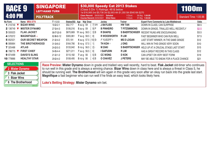|                                                           | <b>RACE 9</b><br><b>4:00 PM</b> |                                      |                     | <b>SINGAPORE</b><br><b>LEFT-HAND TURN</b> |           |                                                                                                | \$30,000 Speedy Cat 2013 Stakes<br>(Class 5 Div 1) Ratings: 48 & below<br>1st \$16,065 2nd \$5,738 3rd \$2,903 4th \$1,350 5th \$540 6th \$270<br>Class Record: 29/05/2021 Sahabat<br>59.0kg 1:04.80 |                       |                                                                                                                                                                                                                                                                                                                                                                                                   |                        |             |
|-----------------------------------------------------------|---------------------------------|--------------------------------------|---------------------|-------------------------------------------|-----------|------------------------------------------------------------------------------------------------|------------------------------------------------------------------------------------------------------------------------------------------------------------------------------------------------------|-----------------------|---------------------------------------------------------------------------------------------------------------------------------------------------------------------------------------------------------------------------------------------------------------------------------------------------------------------------------------------------------------------------------------------------|------------------------|-------------|
|                                                           |                                 |                                      | <b>POLYTRACK</b>    |                                           |           | Course Record: 24/04/2021 Elliot Ness                                                          |                                                                                                                                                                                                      | V Duric<br>V Duric    | 57.0kg 1:03.65                                                                                                                                                                                                                                                                                                                                                                                    | Standard Time: 1:05.96 |             |
| No Form                                                   |                                 | Name MRA 0779                        |                     | $T-1-2-3$                                 |           | Stakes(S\$) Age Wgt Draw                                                                       | Jockey                                                                                                                                                                                               | <b>Trainer</b>        | <b>Expert Form Comments by Luke Middlebrook</b>                                                                                                                                                                                                                                                                                                                                                   |                        | <b>Odds</b> |
| 1 210749                                                  |                                 | <b>BIZAR WINS</b>                    |                     | $18 - 2 - 2 - 1$                          | \$52,717  | 4 au-g 59<br>7] VH                                                                             | <b>J BAYLISS</b>                                                                                                                                                                                     | <b>HW TAN</b>         | DOWN IN CLASS, CAN SURPRISE                                                                                                                                                                                                                                                                                                                                                                       |                        | \$8.5       |
| 2 136749                                                  |                                 | <b>MISTER DYNAMO</b>                 |                     | $27 - 3 - 4 - 3$                          | \$106,016 | <b>5</b> au-g 59<br>9] P                                                                       | <b>B PINHEIRO</b>                                                                                                                                                                                    | <b>T FITZSIMMONS</b>  | DOWN IN GRADE, TRIALLED WELL RECENTLY                                                                                                                                                                                                                                                                                                                                                             |                        | \$2.5       |
| 3 555523                                                  |                                 | <b>FLAK JACKET</b>                   |                     | 98-7-20-9                                 | \$670,669 | 11 au-g $58.5$ [ 3] B                                                                          | <b>R SHAFIQ</b>                                                                                                                                                                                      | <b>S BAERTSCHIGER</b> | RECENT RUNS ARE ENCOURAGING                                                                                                                                                                                                                                                                                                                                                                       |                        | \$3.5       |
| 4 570372                                                  |                                 | <b>MAGNIFIQUE +</b>                  |                     | $62 - 6 - 6 - 12$                         | \$305,961 | 7 au-g 58.5 [ 8]                                                                               | <b>R WOODWORTH</b>                                                                                                                                                                                   | <b>RLIM</b>           | <b>FAST BEGINNER WHO CAN RUN WELL</b>                                                                                                                                                                                                                                                                                                                                                             |                        | \$7.5       |
| 5 852521                                                  |                                 | <b>OUR SECRET WEAPON</b>             |                     | $21 - 2 - 4 - 2$                          | \$72,191  | 4 au-g 57.5 [10] St                                                                            | FYUSOFF-3                                                                                                                                                                                            | <b>MS D LOGAN</b>     | LAST START WINNER, IN THE SAME GRADE                                                                                                                                                                                                                                                                                                                                                              |                        | \$12        |
| 6 085664                                                  |                                 | THE BROTHERHOOD                      |                     | $31 - 3 - 6 - 2$                          | \$164,790 | 5 nz-g 57.5 [ 1]                                                                               | TH KOH 1                                                                                                                                                                                             | <b>JONG</b>           | WILL WIN IN THIS GRADE VERY SOON                                                                                                                                                                                                                                                                                                                                                                  |                        | \$10        |
| 7 325488                                                  |                                 | <b>ATLAS</b>                         |                     | $24 - 2 - 5 - 3$                          | \$133,942 | 5 nz-g 56.5 [ 2]t                                                                              | <b>M ZAKI</b>                                                                                                                                                                                        |                       | S BAERTSCHIGER HELD UP AT A CRUCIAL STAGE LAST START                                                                                                                                                                                                                                                                                                                                              |                        | \$15        |
| 8 799775                                                  |                                 | <b>FIRST CHIEF</b>                   |                     | $54 - 5 - 4 - 4$                          | \$271,011 | <b>7</b> au-g 56.5 [ 6]                                                                        | <b>I SAIFUDIN</b>                                                                                                                                                                                    | <b>R LIM</b>          | HAS A GREAT RECORD IN THIS CLASS                                                                                                                                                                                                                                                                                                                                                                  |                        | \$12        |
| 9 874499                                                  |                                 | <b>DAVID'S SLING</b>                 |                     | $21 - 2 - 1 - 2$                          | \$110,182 | $7$ us-g 56<br>$5$ ] B                                                                         | <b>CC WONG</b>                                                                                                                                                                                       | <b>D KOK</b>          | CAN UPSET ON VERY BEST FORM                                                                                                                                                                                                                                                                                                                                                                       |                        | \$19        |
| 10 779886                                                 |                                 | <b>HEALTHY STAR</b>                  |                     | $29 - 2 - 4 - 2$                          | \$108,495 | 41 B<br>$5$ nz-g $56$                                                                          | <b>O CHAVEZ</b>                                                                                                                                                                                      | <b>J PETERS</b>       | MAY BE ABLE TO SNEAK FOR A PLACE CHANCE                                                                                                                                                                                                                                                                                                                                                           |                        | \$21        |
| <b>SELECTIONS</b><br>3 Flak Jacket<br><b>I</b> Bizar Wins |                                 | 2 Mister Dynamo<br>6 The Brotherhood |                     |                                           |           | Magnifique a fast beginner who can run well if he finds an easy lead, which looks likely here. |                                                                                                                                                                                                      |                       | Race Preview: Mister Dynamo down in grade and trialled very well recently, hard to beat. Flak Jacket old-timer who continues<br>to run well in this grade and is always a winning chance. Bizar Wins down in class here and is always a threat in Class 5, he<br>should be running well. The Brotherhood will win again in this grade very soon after an okay run back into the grade last start. |                        |             |
|                                                           |                                 |                                      | <b><i>iRACE</i></b> |                                           |           | Luke's Betting Strategy: Mister Dynamo win bet.                                                |                                                                                                                                                                                                      |                       |                                                                                                                                                                                                                                                                                                                                                                                                   |                        |             |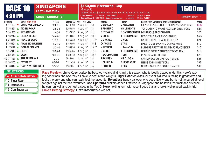|                               | <b>SINGAPORE</b><br><b>RACE 10</b><br><b>LEFT-HAND TURN</b> |                         |             | (Group 2)                  | \$150,000 Stewards' Cup<br>1st \$80,325 2nd \$28,688 3rd \$14,513 4th \$6,750 5th \$2,700 6th \$1,350 |                        |                                                   |                      |             |  |
|-------------------------------|-------------------------------------------------------------|-------------------------|-------------|----------------------------|-------------------------------------------------------------------------------------------------------|------------------------|---------------------------------------------------|----------------------|-------------|--|
| <b>4:30 PM</b>                |                                                             | <b>SHORT COURSE (A)</b> |             |                            | Class Record: 17/07/2009 Given Vision<br>Course Record: 15/09/2013 Super Ninetyseven                  | J Moreira<br>J Moreira | 57.0kg 1:34.90<br>51.5kg 1:33.61                  | Standard Time: --:-- |             |  |
| No Form                       | Name MRA 0780                                               | $T-1-2-3$               | Stakes(S\$) | Wgt Draw<br>Age            | Jockey                                                                                                | <b>Trainer</b>         | <b>Expert Form Comments by Luke Middlebrook</b>   |                      | <b>Odds</b> |  |
| 1 111120                      | <b>LIM'S KOSCIUSZKO</b>                                     | $10 - 8 - 1 - 0$        | \$343,102   | [12]<br>4 au-g 57          | <b>D BEASLEY</b>                                                                                      | <b>D MEAGHER</b>       | <b>IDEALLY PLACED UNDER THE RACING CONDITIONS</b> |                      | \$1.6       |  |
| 2 151251                      | <b>TIGER ROAR</b>                                           | $12 - 6 - 3 - 1$        | \$295,886   | 31<br>4 au-g 57            | <b>B PINHEIRO</b>                                                                                     | <b>M CLEMENTS</b>      | TOP CLASS 4YO WHO IS RACING IN GREAT FORM         |                      | \$2.5       |  |
| 3 181983                      | <b>RED OCEAN</b>                                            | $12 - 4 - 0 - 1$        | \$157,657   | $[11]$ t<br>4 nz-g $57$    | <b>R STEWART</b>                                                                                      | <b>S BAERTSCHIGER</b>  | DANGEROUS FRONTRUNNER                             |                      | \$20        |  |
| 4 137312                      | <b>RELENTLESS</b>                                           | $14 - 4 - 2 - 3$        | \$178,031   | [10] B<br>4 au-g $57$      | <b>V DURIC</b>                                                                                        | <b>T FITZSIMMONS</b>   | RECENT RUNS ARE ENCOURAGING                       |                      | \$5.5       |  |
| 5 313865                      | <b>REAL EFECTO</b>                                          | $17 - 4 - 1 - 5$        | \$185,332   | $1$ ] $Ht$<br>4 au-g 57    | <b>O CHAVEZ</b>                                                                                       | <b>D KOK</b>           | BARRIER TRIALLED WELL RECENTLY                    |                      | \$21        |  |
| 6 155591                      | <b>AMAZING BREEZE</b>                                       | $15 - 3 - 1 - 2$        | \$150,896   | 6S<br>4 nz-g $57$          | <b>CC WONG</b>                                                                                        | <b>J TAN</b>           | LIKES TO GET BACK AND CHARGE HOME                 |                      | \$19        |  |
| 7 173122                      | <b>CON SPERANZA</b>                                         | $12 - 2 - 4 - 4$        | \$130,050   | $5$ ] $B^*$<br>4 nz-g $57$ | <b>M LERNER</b>                                                                                       | <b>H TAKAOKA</b>       | BLINKERS FIRST TIME IN SINGAPORE, CONSIDER        |                      | \$15        |  |
| 8 152413                      | <b>HERO</b>                                                 | $13 - 3 - 2 - 1$        | \$104,735   | $71S$ t<br>4 au-g $57$     | <b>D MOOR</b>                                                                                         | <b>T FITZSIMMONS</b>   | <b>HOLDING FORM WITH RECENT GOOD TRIAL</b>        |                      | \$18        |  |
| 9 521551<br>$\blacktriangle$  | <b>VGOR</b>                                                 | $18 - 4 - 2 - 2$        | \$120,142   | 2H<br>4 au-g $57$          | <b>R WOODWORTH</b>                                                                                    | <b>RLIM</b>            | PLACE CHANCE AT BEST                              |                      | \$70        |  |
| <b>10</b> 311157              | <b>SUPER IMPACT</b>                                         | $7 - 3 - 0 - 2$         | \$54,880    | 4 nz-g $57$<br>-81         | <b>J BAYLISS</b>                                                                                      | <b>MS D LOGAN</b>      | CAN IMPROVE 2nd UP FROM A BREAK                   |                      | \$25        |  |
| 11 362160<br>$\blacktriangle$ | <b>EVEREST</b>                                              | $8 - 2 - 2 - 1$         | \$121,455   | 4 us-h 57<br>-91           | <b>L BEUZELIN</b>                                                                                     | <b>R LE GRANGE</b>     | NEEDS TO FIND BEST FORM                           |                      | \$88        |  |
| <b>12</b> 89419               | <b>HAPPY WONDERFUL</b>                                      | $5 - 1 - 0 - 0$         | \$16,965    | 4 au-h 57<br>41            | <b>R SHAFIQ</b>                                                                                       | <b>J TAN</b>           | NEEDS SOMETHING EASIER THAN THIS                  |                      | \$99        |  |

| <b>SELECTIONS</b>    |  |
|----------------------|--|
| ★ 1 Lim's Kosciuszko |  |
| 2 Tiger Roar         |  |
| 4 Relentless         |  |
| 7 Con Speranza       |  |
|                      |  |

**Race Preview: Lim's Kosciuszko** the best four-year-old at Kranji this season who is ideally placed under this week's racing conditions, the one they all have to beat at the weights. **Tiger Roar** top class four-year-old who is racing in great form and looks the only one who can really test the favourite. **Relentless** handy galloper who does little wrong but is not favoured at level weights against the two favourites. **Con Speranza** blinkers added first time in Singapore and he loves the track and distance, he can run well and contest a spot in the Top 3. **Hero** holding form with recent good trial and looks well-placed back in trip. **Luke's Betting Strategy: Lim's Kosciuszko** win bet.